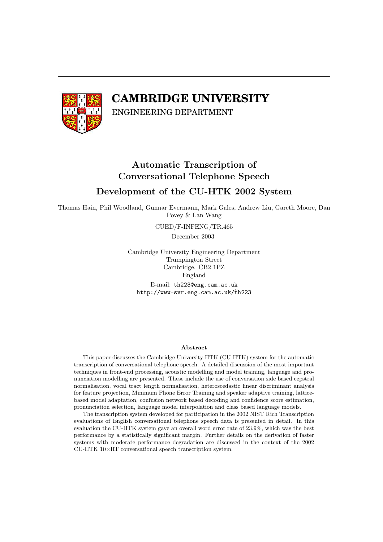

# **CAMBRIDGE UNIVERSITY**

ENGINEERING DEPARTMENT

# Automatic Transcription of Conversational Telephone Speech Development of the CU-HTK 2002 System

Thomas Hain, Phil Woodland, Gunnar Evermann, Mark Gales, Andrew Liu, Gareth Moore, Dan Povey & Lan Wang

CUED/F-INFENG/TR.465

December 2003

Cambridge University Engineering Department Trumpington Street Cambridge. CB2 1PZ England E-mail: th223@eng.cam.ac.uk http://www-svr.eng.cam.ac.uk/th223

#### Abstract

This paper discusses the Cambridge University HTK (CU-HTK) system for the automatic transcription of conversational telephone speech. A detailed discussion of the most important techniques in front-end processing, acoustic modelling and model training, language and pronunciation modelling are presented. These include the use of conversation side based cepstral normalisation, vocal tract length normalisation, heteroscedastic linear discriminant analysis for feature projection, Minimum Phone Error Training and speaker adaptive training, latticebased model adaptation, confusion network based decoding and confidence score estimation, pronunciation selection, language model interpolation and class based language models.

The transcription system developed for participation in the 2002 NIST Rich Transcription evaluations of English conversational telephone speech data is presented in detail. In this evaluation the CU-HTK system gave an overall word error rate of 23.9%, which was the best performance by a statistically significant margin. Further details on the derivation of faster systems with moderate performance degradation are discussed in the context of the 2002 CU-HTK 10×RT conversational speech transcription system.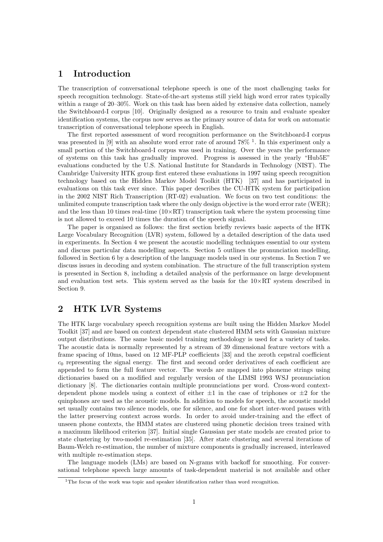# 1 Introduction

The transcription of conversational telephone speech is one of the most challenging tasks for speech recognition technology. State-of-the-art systems still yield high word error rates typically within a range of 20–30%. Work on this task has been aided by extensive data collection, namely the Switchboard-I corpus [10]. Originally designed as a resource to train and evaluate speaker identification systems, the corpus now serves as the primary source of data for work on automatic transcription of conversational telephone speech in English.

The first reported assessment of word recognition performance on the Switchboard-I corpus was presented in [9] with an absolute word error rate of around  $78\%$ <sup>1</sup>. In this experiment only a small portion of the Switchboard-I corpus was used in training. Over the years the performance of systems on this task has gradually improved. Progress is assessed in the yearly "Hub5E" evaluations conducted by the U.S. National Institute for Standards in Technology (NIST). The Cambridge University HTK group first entered these evaluations in 1997 using speech recognition technology based on the Hidden Markov Model Toolkit (HTK) [37] and has participated in evaluations on this task ever since. This paper describes the CU-HTK system for participation in the 2002 NIST Rich Transcription (RT-02) evaluation. We focus on two test conditions: the unlimited compute transcription task where the only design objective is the word error rate (WER); and the less than 10 times real-time  $(10\times RT)$  transcription task where the system processing time is not allowed to exceed 10 times the duration of the speech signal.

The paper is organised as follows: the first section briefly reviews basic aspects of the HTK Large Vocabulary Recognition (LVR) system, followed by a detailed description of the data used in experiments. In Section 4 we present the acoustic modelling techniques essential to our system and discuss particular data modelling aspects. Section 5 outlines the pronunciation modelling, followed in Section 6 by a description of the language models used in our systems. In Section 7 we discuss issues in decoding and system combination. The structure of the full transcription system is presented in Section 8, including a detailed analysis of the performance on large development and evaluation test sets. This system served as the basis for the  $10\times RT$  system described in Section 9.

# 2 HTK LVR Systems

The HTK large vocabulary speech recognition systems are built using the Hidden Markov Model Toolkit [37] and are based on context dependent state clustered HMM sets with Gaussian mixture output distributions. The same basic model training methodology is used for a variety of tasks. The acoustic data is normally represented by a stream of 39 dimensional feature vectors with a frame spacing of 10ms, based on 12 MF-PLP coefficients [33] and the zeroth cepstral coefficient  $c_0$  representing the signal energy. The first and second order derivatives of each coefficient are appended to form the full feature vector. The words are mapped into phoneme strings using dictionaries based on a modified and regularly version of the LIMSI 1993 WSJ pronunciation dictionary [8]. The dictionaries contain multiple pronunciations per word. Cross-word contextdependent phone models using a context of either  $\pm 1$  in the case of triphones or  $\pm 2$  for the quinphones are used as the acoustic models. In addition to models for speech, the acoustic model set usually contains two silence models, one for silence, and one for short inter-word pauses with the latter preserving context across words. In order to avoid under-training and the effect of unseen phone contexts, the HMM states are clustered using phonetic decision trees trained with a maximum likelihood criterion [37]. Initial single Gaussian per state models are created prior to state clustering by two-model re-estimation [35]. After state clustering and several iterations of Baum-Welch re-estimation, the number of mixture components is gradually increased, interleaved with multiple re-estimation steps.

The language models (LMs) are based on N-grams with backoff for smoothing. For conversational telephone speech large amounts of task-dependent material is not available and other

<sup>&</sup>lt;sup>1</sup>The focus of the work was topic and speaker identification rather than word recognition.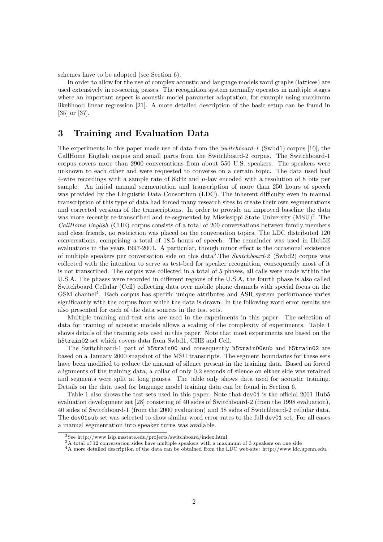schemes have to be adopted (see Section 6).

In order to allow for the use of complex acoustic and language models word graphs (lattices) are used extensively in re-scoring passes. The recognition system normally operates in multiple stages where an important aspect is acoustic model parameter adaptation, for example using maximum likelihood linear regression [21]. A more detailed description of the basic setup can be found in [35] or [37].

# 3 Training and Evaluation Data

The experiments in this paper made use of data from the Switchboard-1 (Swbd1) corpus [10], the CallHome English corpus and small parts from the Switchboard-2 corpus. The Switchboard-1 corpus covers more than 2900 conversations from about 550 U.S. speakers. The speakers were unknown to each other and were requested to converse on a certain topic. The data used had 4-wire recordings with a sample rate of 8kHz and  $\mu$ -law encoded with a resolution of 8 bits per sample. An initial manual segmentation and transcription of more than 250 hours of speech was provided by the Linguistic Data Consortium (LDC). The inherent difficulty even in manual transcription of this type of data had forced many research sites to create their own segmentations and corrected versions of the transcriptions. In order to provide an improved baseline the data was more recently re-transcribed and re-segmented by Mississippi State University (MSU)<sup>2</sup>. The CallHome English (CHE) corpus consists of a total of 200 conversations between family members and close friends, no restriction was placed on the conversation topics. The LDC distributed 120 conversations, comprising a total of 18.5 hours of speech. The remainder was used in Hub5E evaluations in the years 1997-2001. A particular, though minor effect is the occasional existence of multiple speakers per conversation side on this data<sup>3</sup>. The Switchboard-2 (Swbd2) corpus was collected with the intention to serve as test-bed for speaker recognition, consequently most of it is not transcribed. The corpus was collected in a total of 5 phases, all calls were made within the U.S.A. The phases were recorded in different regions of the U.S.A, the fourth phase is also called Switchboard Cellular (Cell) collecting data over mobile phone channels with special focus on the GSM channel<sup>4</sup>. Each corpus has specific unique attributes and ASR system performance varies significantly with the corpus from which the data is drawn. In the following word error results are also presented for each of the data sources in the test sets.

Multiple training and test sets are used in the experiments in this paper. The selection of data for training of acoustic models allows a scaling of the complexity of experiments. Table 1 shows details of the training sets used in this paper. Note that most experiments are based on the h5train02 set which covers data from Swbd1, CHE and Cell.

The Switchboard-1 part of h5train00 and consequently h5train00sub and h5train02 are based on a January 2000 snapshot of the MSU transcripts. The segment boundaries for these sets have been modified to reduce the amount of silence present in the training data. Based on forced alignments of the training data, a collar of only 0.2 seconds of silence on either side was retained and segments were split at long pauses. The table only shows data used for acoustic training. Details on the data used for language model training data can be found in Section 6.

Table 1 also shows the test-sets used in this paper. Note that dev01 is the official 2001 Hub5 evaluation development set [28] consisting of 40 sides of Switchboard-2 (from the 1998 evaluation), 40 sides of Switchboard-1 (from the 2000 evaluation) and 38 sides of Switchboard-2 cellular data. The dev01sub set was selected to show similar word error rates to the full dev01 set. For all cases a manual segmentation into speaker turns was available.

<sup>2</sup>See http://www.isip.msstate.edu/projects/switchboard/index.html

<sup>&</sup>lt;sup>3</sup>A total of 12 conversation sides have multiple speakers with a maximum of 3 speakers on one side

<sup>4</sup>A more detailed description of the data can be obtained from the LDC web-site: http://www.ldc.upenn.edu.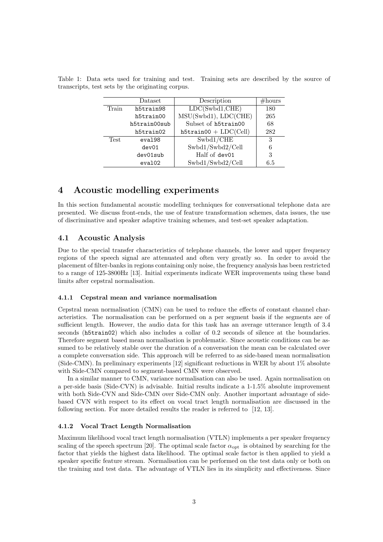|       | Dataset      | Description                | #hours |
|-------|--------------|----------------------------|--------|
| Train | h5train98    | LDC(Swbd1, CHE)            | 180    |
|       | h5train00    | MSU(Swbd1), LDC(CHE)       | 265    |
|       | h5train00sub | Subset of h5train00        | 68     |
|       | h5train02    | $h5$ train00 + $LDC(Cell)$ | 282    |
| Test  | eval98       | Swbd1/CHE                  | 3      |
|       | dev01        | Swbd1/Swbd2/Cell           | 6      |
|       | dev01sub     | Half of dev01              | 3      |
|       | eval02       | Swbd1/Swbd2/Cell           | 6.5    |

Table 1: Data sets used for training and test. Training sets are described by the source of transcripts, test sets by the originating corpus.

# 4 Acoustic modelling experiments

In this section fundamental acoustic modelling techniques for conversational telephone data are presented. We discuss front-ends, the use of feature transformation schemes, data issues, the use of discriminative and speaker adaptive training schemes, and test-set speaker adaptation.

### 4.1 Acoustic Analysis

Due to the special transfer characteristics of telephone channels, the lower and upper frequency regions of the speech signal are attenuated and often very greatly so. In order to avoid the placement of filter-banks in regions containing only noise, the frequency analysis has been restricted to a range of 125-3800Hz [13]. Initial experiments indicate WER improvements using these band limits after cepstral normalisation.

#### 4.1.1 Cepstral mean and variance normalisation

Cepstral mean normalisation (CMN) can be used to reduce the effects of constant channel characteristics. The normalisation can be performed on a per segment basis if the segments are of sufficient length. However, the audio data for this task has an average utterance length of 3.4 seconds (h5train02) which also includes a collar of 0.2 seconds of silence at the boundaries. Therefore segment based mean normalisation is problematic. Since acoustic conditions can be assumed to be relatively stable over the duration of a conversation the mean can be calculated over a complete conversation side. This approach will be referred to as side-based mean normalisation (Side-CMN). In preliminary experiments [12] significant reductions in WER by about 1% absolute with Side-CMN compared to segment-based CMN were observed.

In a similar manner to CMN, variance normalisation can also be used. Again normalisation on a per-side basis (Side-CVN) is advisable. Initial results indicate a 1-1.5% absolute improvement with both Side-CVN and Side-CMN over Side-CMN only. Another important advantage of sidebased CVN with respect to its effect on vocal tract length normalisation are discussed in the following section. For more detailed results the reader is referred to [12, 13].

#### 4.1.2 Vocal Tract Length Normalisation

Maximum likelihood vocal tract length normalisation (VTLN) implements a per speaker frequency scaling of the speech spectrum [20]. The optimal scale factor  $\alpha_{\text{opt}}$  is obtained by searching for the factor that yields the highest data likelihood. The optimal scale factor is then applied to yield a speaker specific feature stream. Normalisation can be performed on the test data only or both on the training and test data. The advantage of VTLN lies in its simplicity and effectiveness. Since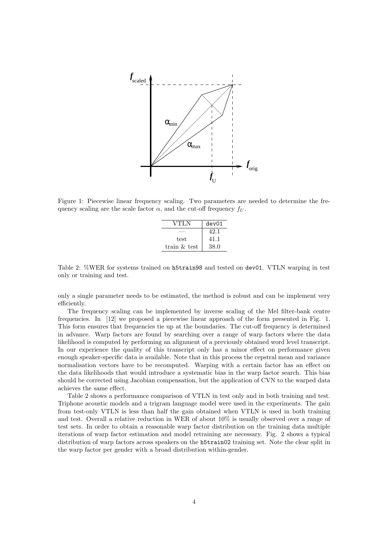

Figure 1: Piecewise linear frequency scaling. Two parameters are needed to determine the frequency scaling are the scale factor  $\alpha$ , and the cut-off frequency  $f_U$ .

| VTLN            | dev01 |
|-----------------|-------|
|                 | 42.1  |
| test            | 41.1  |
| train $\&$ test | 38.0  |

Table 2: %WER for systems trained on h5train98 and tested on dev01. VTLN warping in test only or training and test.

only a single parameter needs to be estimated, the method is robust and can be implement very efficiently.

The frequency scaling can be implemented by inverse scaling of the Mel filter-bank centre frequencies. In [12] we proposed a piecewise linear approach of the form presented in Fig. 1. This form ensures that frequencies tie up at the boundaries. The cut-off frequency is determined in advance. Warp factors are found by searching over a range of warp factors where the data likelihood is computed by performing an alignment of a previously obtained word level transcript. In our experience the quality of this transcript only has a minor effect on performance given enough speaker-specific data is available. Note that in this process the cepstral mean and variance normalisation vectors have to be recomputed. Warping with a certain factor has an effect on the data likelihoods that would introduce a systematic bias in the warp factor search. This bias should be corrected using Jacobian compensation, but the application of CVN to the warped data achieves the same effect.

Table 2 shows a performance comparison of VTLN in test only and in both training and test. Triphone acoustic models and a trigram language model were used in the experiments. The gain from test-only VTLN is less than half the gain obtained when VTLN is used in both training and test. Overall a relative reduction in WER of about 10% is usually observed over a range of test sets. In order to obtain a reasonable warp factor distribution on the training data multiple iterations of warp factor estimation and model retraining are necessary. Fig. 2 shows a typical distribution of warp factors across speakers on the **h5train02** training set. Note the clear split in the warp factor per gender with a broad distribution within-gender.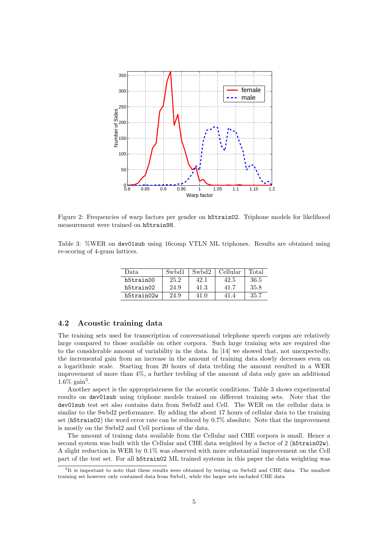

Figure 2: Frequencies of warp factors per gender on h5train02. Triphone models for likelihood measurement were trained on h5train98.

Table 3: %WER on dev01sub using 16comp VTLN ML triphones. Results are obtained using re-scoring of 4-gram lattices.

| Data       | Swbd1 | Swbd2 | Cellular | Total |
|------------|-------|-------|----------|-------|
| h5train00  | 25.2  | 42.1  | 42.5     | 36.5  |
| h5train02  | 24.9  | 41.3  | 41.7     | 35.8  |
| h5train02w | 24.9  | 41 O  |          | 35.7  |

### 4.2 Acoustic training data

The training sets used for transcription of conversational telephone speech corpus are relatively large compared to those available on other corpora. Such large training sets are required due to the considerable amount of variability in the data. In [14] we showed that, not unexpectedly, the incremental gain from an increase in the amount of training data slowly decreases even on a logarithmic scale. Starting from 20 hours of data trebling the amount resulted in a WER improvement of more than 4%, a further trebling of the amount of data only gave an additional  $1.6\%$  gain<sup>5</sup>.

Another aspect is the appropriateness for the acoustic conditions. Table 3 shows experimental results on dev01sub using triphone models trained on different training sets. Note that the dev01sub test set also contains data from Swbd2 and Cell. The WER on the cellular data is similar to the Swbd2 performance. By adding the about 17 hours of cellular data to the training set (h5train02) the word error rate can be reduced by 0.7% absolute. Note that the improvement is mostly on the Swbd2 and Cell portions of the data.

The amount of trainng data available from the Cellular and CHE corpora is small. Hence a second system was built with the Cellular and CHE data weighted by a factor of 2 (h5train02w). A slight reduction in WER by 0.1% was observed with more substantial improvement on the Cell part of the test set. For all h5train02 ML trained systems in this paper the data weighting was

<sup>&</sup>lt;sup>5</sup>It is important to note that these results were obtained by testing on Swbd2 and CHE data. The smallest training set however only contained data from Swbd1, while the larger sets included CHE data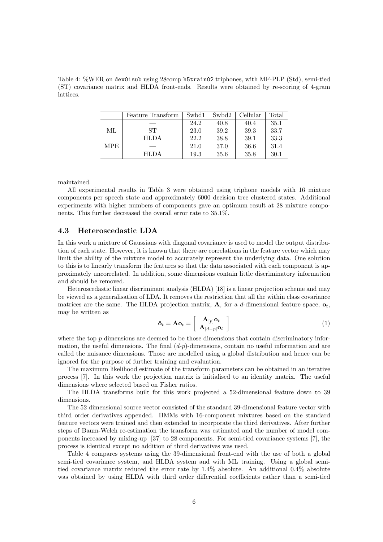Table 4: %WER on dev01sub using 28comp h5train02 triphones, with MF-PLP (Std), semi-tied (ST) covariance matrix and HLDA front-ends. Results were obtained by re-scoring of 4-gram lattices.

|            | Feature Transform | Swbd1 | Swbd2 | Cellular | $\rm Total$ |
|------------|-------------------|-------|-------|----------|-------------|
|            |                   | 24.2  | 40.8  | 40.4     | 35.1        |
| ML         | ST                | 23.0  | 39.2  | 39.3     | 33.7        |
|            | <b>HLDA</b>       | 22.2  | 38.8  | 39.1     | 33.3        |
| <b>MPE</b> |                   | 21.0  | 37.0  | 36.6     | 31.4        |
|            | <b>HLDA</b>       | 19.3  | 35.6  | 35.8     | 30.1        |

maintained.

All experimental results in Table 3 were obtained using triphone models with 16 mixture components per speech state and approximately 6000 decision tree clustered states. Additional experiments with higher numbers of components gave an optimum result at 28 mixture components. This further decreased the overall error rate to 35.1%.

#### 4.3 Heteroscedastic LDA

In this work a mixture of Gaussians with diagonal covariance is used to model the output distribution of each state. However, it is known that there are correlations in the feature vector which may limit the ability of the mixture model to accurately represent the underlying data. One solution to this is to linearly transform the features so that the data associated with each component is approximately uncorrelated. In addition, some dimensions contain little discriminatory information and should be removed.

Heteroscedastic linear discriminant analysis (HLDA) [18] is a linear projection scheme and may be viewed as a generalisation of LDA. It removes the restriction that all the within class covariance matrices are the same. The HLDA projection matrix,  $\bf{A}$ , for a d-dimensional feature space,  $\bf{o}_t$ , may be written as ·  $\overline{a}$ 

$$
\hat{\mathbf{o}}_t = \mathbf{A}\mathbf{o}_t = \left[\begin{array}{c} \mathbf{A}_{[p]}\mathbf{o}_t \\ \mathbf{A}_{[d-p]}\mathbf{o}_t \end{array}\right]
$$
(1)

where the top  $p$  dimensions are deemed to be those dimensions that contain discriminatory information, the useful dimensions. The final  $(d-p)$ -dimensions, contain no useful information and are called the nuisance dimensions. Those are modelled using a global distribution and hence can be ignored for the purpose of further training and evaluation.

The maximum likelihood estimate of the transform parameters can be obtained in an iterative process [7]. In this work the projection matrix is initialised to an identity matrix. The useful dimensions where selected based on Fisher ratios.

The HLDA transforms built for this work projected a 52-dimensional feature down to 39 dimensions.

The 52 dimensional source vector consisted of the standard 39-dimensional feature vector with third order derivatives appended. HMMs with 16-component mixtures based on the standard feature vectors were trained and then extended to incorporate the third derivatives. After further steps of Baum-Welch re-estimation the transform was estimated and the number of model components increased by mixing-up [37] to 28 components. For semi-tied covariance systems [7], the process is identical except no addition of third derivatives was used.

Table 4 compares systems using the 39-dimensional front-end with the use of both a global semi-tied covariance system, and HLDA system and with ML training. Using a global semitied covariance matrix reduced the error rate by 1.4% absolute. An additional 0.4% absolute was obtained by using HLDA with third order differential coefficients rather than a semi-tied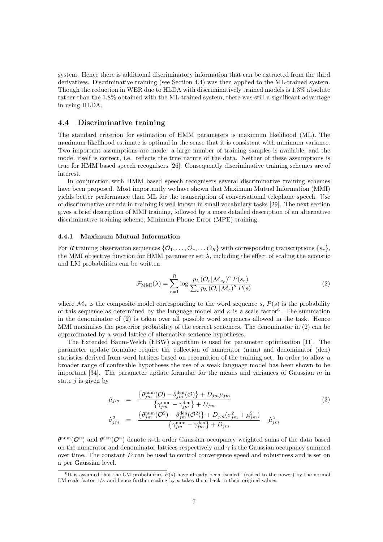system. Hence there is additional discriminatory information that can be extracted from the third derivatives. Discriminative training (see Section 4.4) was then applied to the ML-trained system. Though the reduction in WER due to HLDA with discriminatively trained models is 1.3% absolute rather than the 1.8% obtained with the ML-trained system, there was still a significant advantage in using HLDA.

### 4.4 Discriminative training

The standard criterion for estimation of HMM parameters is maximum likelihood (ML). The maximum likelihood estimate is optimal in the sense that it is consistent with minimum variance. Two important assumptions are made: a large number of training samples is available; and the model itself is correct, i.e. reflects the true nature of the data. Neither of these assumptions is true for HMM based speech recognisers [26]. Consequently discriminative training schemes are of interest.

In conjunction with HMM based speech recognisers several discriminative training schemes have been proposed. Most importantly we have shown that Maximum Mutual Information (MMI) yields better performance than ML for the transcription of conversational telephone speech. Use of discriminative criteria in training is well known in small vocabulary tasks [29]. The next section gives a brief description of MMI training, followed by a more detailed description of an alternative discriminative training scheme, Minimum Phone Error (MPE) training.

#### 4.4.1 Maximum Mutual Information

For R training observation sequences  $\{\mathcal{O}_1,\ldots,\mathcal{O}_r,\ldots\mathcal{O}_R\}$  with corresponding transcriptions  $\{s_r\}$ , the MMI objective function for HMM parameter set  $\lambda$ , including the effect of scaling the acoustic and LM probabilities can be written

$$
\mathcal{F}_{\text{MMI}}(\lambda) = \sum_{r=1}^{R} \log \frac{p_{\lambda} \left(\mathcal{O}_{r} | \mathcal{M}_{s_r}\right)^{\kappa} P(s_r)}{\sum_{s} p_{\lambda} \left(\mathcal{O}_{r} | \mathcal{M}_{s}\right)^{\kappa} P(s)}
$$
(2)

where  $\mathcal{M}_s$  is the composite model corresponding to the word sequence s,  $P(s)$  is the probability of this sequence as determined by the language model and  $\kappa$  is a scale factor<sup>6</sup>. The summation in the denominator of (2) is taken over all possible word sequences allowed in the task. Hence MMI maximises the posterior probability of the correct sentences. The denominator in (2) can be approximated by a word lattice of alternative sentence hypotheses.

The Extended Baum-Welch (EBW) algorithm is used for parameter optimisation [11]. The parameter update formulae require the collection of numerator (num) and denominator (den) statistics derived from word lattices based on recognition of the training set. In order to allow a broader range of confusable hypotheses the use of a weak language model has been shown to be important [34]. The parameter update formulae for the means and variances of Gaussian  $m$  in state  $j$  is given by

$$
\hat{\mu}_{jm} = \frac{\{\theta_{jm}^{\text{num}}(\mathcal{O}) - \theta_{jm}^{\text{den}}(\mathcal{O})\} + D_{jm}\mu_{jm}}{\{\gamma_{jm}^{\text{num}} - \gamma_{jm}^{\text{den}}\} + D_{jm}} \n\hat{\sigma}_{jm}^2 = \frac{\{\theta_{jm}^{\text{num}}(\mathcal{O}^2) - \theta_{jm}^{\text{den}}(\mathcal{O}^2)\} + D_{jm}(\sigma_{jm}^2 + \mu_{jm}^2)}{\{\gamma_{jm}^{\text{num}} - \gamma_{jm}^{\text{den}}\} + D_{jm}} - \hat{\mu}_{jm}^2}
$$
\n(3)

 $\theta^{\text{num}}(\mathcal{O}^n)$  and  $\theta^{\text{den}}(\mathcal{O}^n)$  denote n-th order Gaussian occupancy weighted sums of the data based on the numerator and denominator lattices respectively and  $\gamma$  is the Gaussian occupancy summed over time. The constant  $D$  can be used to control convergence speed and robustness and is set on a per Gaussian level.

 ${}^{6}$ It is assumed that the LM probabilities  $P(s)$  have already been "scaled" (raised to the power) by the normal LM scale factor  $1/\kappa$  and hence further scaling by  $\kappa$  takes them back to their original values.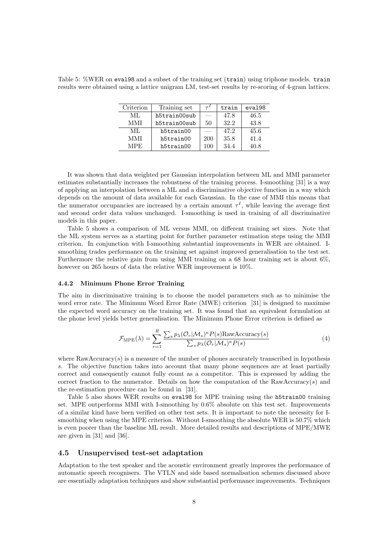Table 5: %WER on eval98 and a subset of the training set (train) using triphone models. train results were obtained using a lattice unigram LM, test-set results by re-scoring of 4-gram lattices.

| Criterion | Training set |     | train | eval98 |
|-----------|--------------|-----|-------|--------|
| ML        | h5train00sub |     | 47.8  | 46.5   |
| MMI       | h5train00sub | 50  | 32.2  | 43.8   |
| ML        | h5train00    |     | 47.2  | 45.6   |
| MMI       | h5train00    | 200 | 35.8  | 41.4   |
| MPE.      | h5train00    | 100 | 34.4  | 40.8   |

It was shown that data weighted per Gaussian interpolation between ML and MMI parameter estimates substantially increases the robustness of the training process. I-smoothing [31] is a way of applying an interpolation between a ML and a discriminative objective function in a way which depends on the amount of data available for each Gaussian. In the case of MMI this means that the numerator occupancies are increased by a certain amount  $\tau^I$ , while leaving the average first and second order data values unchanged. I-smoothing is used in training of all discriminative models in this paper.

Table 5 shows a comparison of ML versus MMI, on different training set sizes. Note that the ML system serves as a starting point for further parameter estimation steps using the MMI criterion. In conjunction with I-smoothing substantial improvements in WER are obtained. Ismoothing trades performance on the training set against improved generalisation to the test set. Furthermore the relative gain from using MMI training on a 68 hour training set is about 6%, however on 265 hours of data the relative WER improvement is 10%.

#### 4.4.2 Minimum Phone Error Training

The aim in discriminative training is to choose the model parameters such as to minimise the word error rate. The Minimum Word Error Rate (MWE) criterion [31] is designed to maximise the expected word accuracy on the training set. It was found that an equivalent formulation at the phone level yields better generalisation. The Minimum Phone Error criterion is defined as

$$
\mathcal{F}_{\text{MPE}}(\lambda) = \sum_{r=1}^{R} \frac{\sum_{s} p_{\lambda}(\mathcal{O}_{r}|\mathcal{M}_{s})^{\kappa} P(s) \text{RawAccuracy}(s)}{\sum_{s} p_{\lambda}(\mathcal{O}_{r}|\mathcal{M}_{s})^{\kappa} P(s)}
$$
(4)

where  $\text{RawAccuracy}(s)$  is a measure of the number of phones accurately transcribed in hypothesis s. The objective function takes into account that many phone sequences are at least partially correct and consequently cannot fully count as a competitor. This is expressed by adding the correct fraction to the numerator. Details on how the computation of the RawAccuracy( $s$ ) and the re-estimation procedure can be found in [31].

Table 5 also shows WER results on eval98 for MPE training using the h5train00 training set. MPE outperforms MMI with I-smoothing by  $0.6\%$  absolute on this test set. Improvements of a similar kind have been verified on other test sets. It is important to note the necessity for Ismoothing when using the MPE criterion. Without I-smoothing the absolute WER is 50.7% which is even poorer than the baseline ML result. More detailed results and descriptions of MPE/MWE are given in [31] and [36].

#### 4.5 Unsupervised test-set adaptation

Adaptation to the test speaker and the acoustic environment greatly improves the performance of automatic speech recognisers. The VTLN and side based normalisation schemes discussed above are essentially adaptation techniques and show substantial performance improvements. Techniques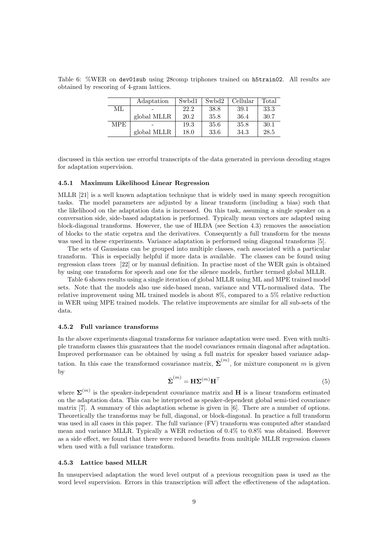Table 6: %WER on dev01sub using 28comp triphones trained on h5train02. All results are obtained by rescoring of 4-gram lattices.

|            | Adaptation  | Swbd1 | Swbd2 | Cellular | Total |
|------------|-------------|-------|-------|----------|-------|
| ML         |             | 22.2  | 38.8  | 39.1     | 33.3  |
|            | global MLLR | 20.2  | 35.8  | 36.4     | 30.7  |
| <b>MPE</b> |             | 19.3  | 35.6  | 35.8     | 30.1  |
|            | global MLLR | 18.0  | 33.6  | 34.3     | 28.5  |

discussed in this section use errorful transcripts of the data generated in previous decoding stages for adaptation supervision.

#### 4.5.1 Maximum Likelihood Linear Regression

MLLR [21] is a well known adaptation technique that is widely used in many speech recognition tasks. The model parameters are adjusted by a linear transform (including a bias) such that the likelihood on the adaptation data is increased. On this task, assuming a single speaker on a conversation side, side-based adaptation is performed. Typically mean vectors are adapted using block-diagonal transforms. However, the use of HLDA (see Section 4.3) removes the association of blocks to the static cepstra and the derivatives. Consequently a full transform for the means was used in these experiments. Variance adaptation is performed using diagonal transforms [5].

The sets of Gaussians can be grouped into multiple classes, each associated with a particular transform. This is especially helpful if more data is available. The classes can be found using regression class trees [22] or by manual definition. In practise most of the WER gain is obtained by using one transform for speech and one for the silence models, further termed global MLLR.

Table 6 shows results using a single iteration of global MLLR using ML and MPE trained model sets. Note that the models also use side-based mean, variance and VTL-normalised data. The relative improvement using ML trained models is about 8%, compared to a 5% relative reduction in WER using MPE trained models. The relative improvements are similar for all sub-sets of the data.

#### 4.5.2 Full variance transforms

In the above experiments diagonal transforms for variance adaptation were used. Even with multiple transform classes this guarantees that the model covariances remain diagonal after adaptation. Improved performance can be obtained by using a full matrix for speaker based variance adaptation. In this case the transformed covariance matrix,  $\hat{\Sigma}^{(m)}$ , for mixture component m is given by

$$
\hat{\Sigma}^{(m)} = \mathbf{H}\Sigma^{(m)}\mathbf{H}^{\top}
$$
\n(5)

where  $\Sigma^{(m)}$  is the speaker-independent covariance matrix and **H** is a linear transform estimated on the adaptation data. This can be interpreted as speaker-dependent global semi-tied covariance matrix [7]. A summary of this adaptation scheme is given in [6]. There are a number of options. Theoretically the transforms may be full, diagonal, or block-diagonal. In practice a full transform was used in all cases in this paper. The full variance (FV) transform was computed after standard mean and variance MLLR. Typically a WER reduction of 0.4% to 0.8% was obtained. However as a side effect, we found that there were reduced benefits from multiple MLLR regression classes when used with a full variance transform.

#### 4.5.3 Lattice based MLLR

In unsupervised adaptation the word level output of a previous recognition pass is used as the word level supervision. Errors in this transcription will affect the effectiveness of the adaptation.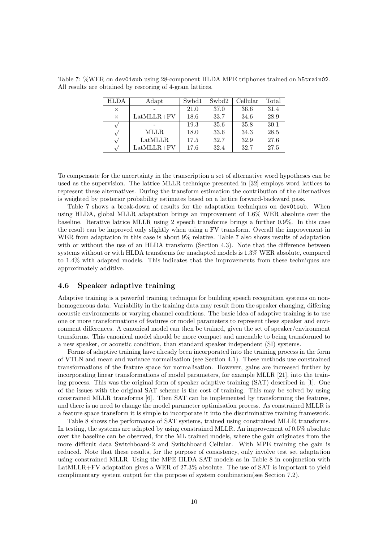| <b>HLDA</b> | Adapt        | Swbd1 | Swbd2 | Cellular | Total |
|-------------|--------------|-------|-------|----------|-------|
| X           |              | 21.0  | 37.0  | 36.6     | 31.4  |
| $\times$    | $LatMLLR+FV$ | 18.6  | 33.7  | 34.6     | 28.9  |
|             |              | 19.3  | 35.6  | 35.8     | 30.1  |
|             | <b>MLLR</b>  | 18.0  | 33.6  | 34.3     | 28.5  |
|             | LatMLLR      | 17.5  | 32.7  | 32.9     | 27.6  |
|             | $LatMLLR+FV$ | 17.6  | 32.4  | 32.7     | 27.5  |

Table 7: %WER on dev01sub using 28-component HLDA MPE triphones trained on h5train02. All results are obtained by rescoring of 4-gram lattices.

To compensate for the uncertainty in the transcription a set of alternative word hypotheses can be used as the supervision. The lattice MLLR technique presented in [32] employs word lattices to represent these alternatives. During the transform estimation the contribution of the alternatives is weighted by posterior probability estimates based on a lattice forward-backward pass.

Table 7 shows a break-down of results for the adaptation techniques on dev01sub. When using HLDA, global MLLR adaptation brings an improvement of 1.6% WER absolute over the baseline. Iterative lattice MLLR using 2 speech transforms brings a further 0.9%. In this case the result can be improved only slightly when using a FV transform. Overall the improvement in WER from adaptation in this case is about 9% relative. Table 7 also shows results of adaptation with or without the use of an HLDA transform (Section 4.3). Note that the difference between systems without or with HLDA transforms for unadapted models is 1.3% WER absolute, compared to 1.4% with adapted models. This indicates that the improvements from these techniques are approximately additive.

#### 4.6 Speaker adaptive training

Adaptive training is a powerful training technique for building speech recognition systems on nonhomogeneous data. Variability in the training data may result from the speaker changing, differing acoustic environments or varying channel conditions. The basic idea of adaptive training is to use one or more transformations of features or model parameters to represent these speaker and environment differences. A canonical model can then be trained, given the set of speaker/environment transforms. This canonical model should be more compact and amenable to being transformed to a new speaker, or acoustic condition, than standard speaker independent (SI) systems.

Forms of adaptive training have already been incorporated into the training process in the form of VTLN and mean and variance normalisation (see Section 4.1). These methods use constrained transformations of the feature space for normalisation. However, gains are increased further by incorporating linear transformations of model parameters, for example MLLR [21], into the training process. This was the original form of speaker adaptive training (SAT) described in [1]. One of the issues with the original SAT scheme is the cost of training. This may be solved by using constrained MLLR transforms [6]. Then SAT can be implemented by transforming the features, and there is no need to change the model parameter optimisation process. As constrained MLLR is a feature space transform it is simple to incorporate it into the discriminative training framework.

Table 8 shows the performance of SAT systems, trained using constrained MLLR transforms. In testing, the systems are adapted by using constrained MLLR. An improvement of 0.5% absolute over the baseline can be observed, for the ML trained models, where the gain originates from the more difficult data Switchboard-2 and Switchboard Cellular. With MPE training the gain is reduced. Note that these results, for the purpose of consistency, only involve test set adaptation using constrained MLLR. Using the MPE HLDA SAT models as in Table 8 in conjunction with LatMLLR+FV adaptation gives a WER of 27.3% absolute. The use of SAT is important to yield complimentary system output for the purpose of system combination(see Section 7.2).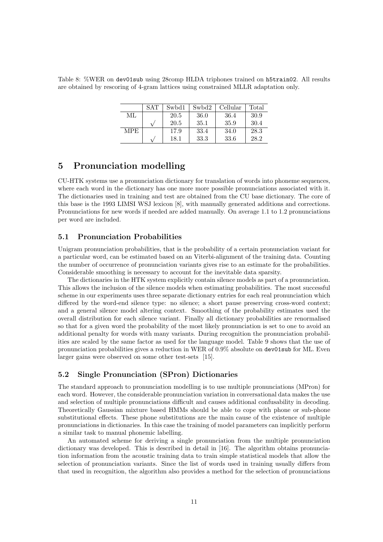Table 8: %WER on dev01sub using 28comp HLDA triphones trained on h5train02. All results are obtained by rescoring of 4-gram lattices using constrained MLLR adaptation only.

|            | <b>SAT</b>   | Swbd1 | Swbd2 | Cellular | Total |
|------------|--------------|-------|-------|----------|-------|
| МL         |              | 20.5  | 36.0  | 36.4     | 30.9  |
|            | $\mathbf{v}$ | 20.5  | 35.1  | 35.9     | 30.4  |
| <b>MPE</b> |              | 17.9  | 33.4  | 34.0     | 28.3  |
|            |              | 18.1  | 33.3  | 33.6     | 28.2  |

# 5 Pronunciation modelling

CU-HTK systems use a pronunciation dictionary for translation of words into phoneme sequences, where each word in the dictionary has one more more possible pronunciations associated with it. The dictionaries used in training and test are obtained from the CU base dictionary. The core of this base is the 1993 LIMSI WSJ lexicon [8], with manually generated additions and corrections. Pronunciations for new words if needed are added manually. On average 1.1 to 1.2 pronunciations per word are included.

### 5.1 Pronunciation Probabilities

Unigram pronunciation probabilities, that is the probability of a certain pronunciation variant for a particular word, can be estimated based on an Viterbi-alignment of the training data. Counting the number of occurrence of pronunciation variants gives rise to an estimate for the probabilities. Considerable smoothing is necessary to account for the inevitable data sparsity.

The dictionaries in the HTK system explicitly contain silence models as part of a pronunciation. This allows the inclusion of the silence models when estimating probabilities. The most successful scheme in our experiments uses three separate dictionary entries for each real pronunciation which differed by the word-end silence type: no silence; a short pause preserving cross-word context; and a general silence model altering context. Smoothing of the probability estimates used the overall distribution for each silence variant. Finally all dictionary probabilities are renormalised so that for a given word the probability of the most likely pronunciation is set to one to avoid an additional penalty for words with many variants. During recognition the pronunciation probabilities are scaled by the same factor as used for the language model. Table 9 shows that the use of pronunciation probabilities gives a reduction in WER of 0.9% absolute on dev01sub for ML. Even larger gains were observed on some other test-sets [15].

### 5.2 Single Pronunciation (SPron) Dictionaries

The standard approach to pronunciation modelling is to use multiple pronunciations (MPron) for each word. However, the considerable pronunciation variation in conversational data makes the use and selection of multiple pronunciations difficult and causes additional confusability in decoding. Theoretically Gaussian mixture based HMMs should be able to cope with phone or sub-phone substitutional effects. These phone substitutions are the main cause of the existence of multiple pronunciations in dictionaries. In this case the training of model parameters can implicitly perform a similar task to manual phonemic labelling.

An automated scheme for deriving a single pronunciation from the multiple pronunciation dictionary was developed. This is described in detail in [16]. The algorithm obtains pronunciation information from the acoustic training data to train simple statistical models that allow the selection of pronunciation variants. Since the list of words used in training usually differs from that used in recognition, the algorithm also provides a method for the selection of pronunciations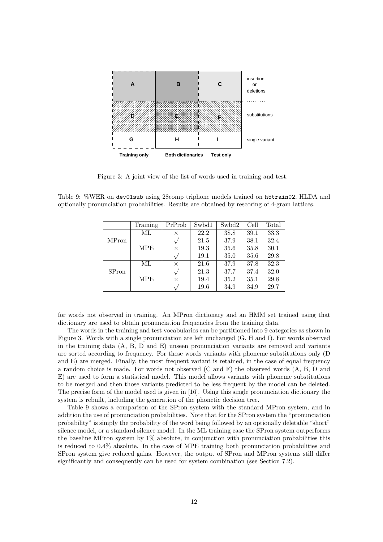

Figure 3: A joint view of the list of words used in training and test.

Table 9: %WER on dev01sub using 28comp triphone models trained on h5train02, HLDA and optionally pronunciation probabilities. Results are obtained by rescoring of 4-gram lattices.

|              | Training   | PrProb       | Swbd1 | Swbd2 | Cell | Total |
|--------------|------------|--------------|-------|-------|------|-------|
|              | МL         | X            | 22.2  | 38.8  | 39.1 | 33.3  |
| <b>MPron</b> |            | $\mathsf{v}$ | 21.5  | 37.9  | 38.1 | 32.4  |
|              | <b>MPE</b> | X            | 19.3  | 35.6  | 35.8 | 30.1  |
|              |            |              | 19.1  | 35.0  | 35.6 | 29.8  |
|              | МL         | $\times$     | 21.6  | 37.9  | 37.8 | 32.3  |
| <b>SPron</b> |            | $\sqrt{}$    | 21.3  | 37.7  | 37.4 | 32.0  |
|              | <b>MPE</b> | X            | 19.4  | 35.2  | 35.1 | 29.8  |
|              |            |              | 19.6  | 34.9  | 34.9 | 29.7  |

for words not observed in training. An MPron dictionary and an HMM set trained using that dictionary are used to obtain pronunciation frequencies from the training data.

The words in the training and test vocabularies can be partitioned into 9 categories as shown in Figure 3. Words with a single pronunciation are left unchanged (G, H and I). For words observed in the training data (A, B, D and E) unseen pronunciation variants are removed and variants are sorted according to frequency. For these words variants with phoneme substitutions only (D and E) are merged. Finally, the most frequent variant is retained, in the case of equal frequency a random choice is made. For words not observed (C and F) the observed words (A, B, D and E) are used to form a statistical model. This model allows variants with phoneme substitutions to be merged and then those variants predicted to be less frequent by the model can be deleted. The precise form of the model used is given in [16]. Using this single pronunciation dictionary the system is rebuilt, including the generation of the phonetic decision tree.

Table 9 shows a comparison of the SPron system with the standard MPron system, and in addition the use of pronunciation probabilities. Note that for the SPron system the "pronunciation probability" is simply the probability of the word being followed by an optionally deletable "short" silence model, or a standard silence model. In the ML training case the SPron system outperforms the baseline MPron system by 1% absolute, in conjunction with pronunciation probabilities this is reduced to 0.4% absolute. In the case of MPE training both pronunciation probabilities and SPron system give reduced gains. However, the output of SPron and MPron systems still differ significantly and consequently can be used for system combination (see Section 7.2).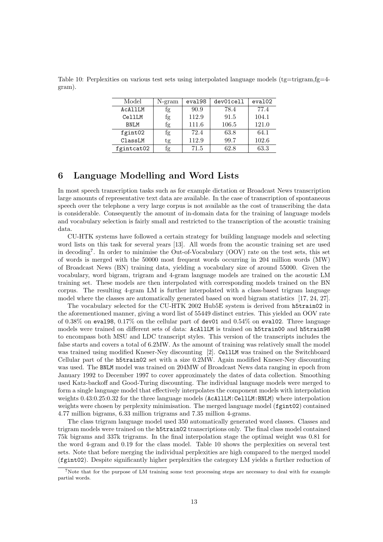Table 10: Perplexities on various test sets using interpolated language models (tg=trigram,fg=4gram).

| Model       | $N-gram$ | eval98 | dev01cell | eva102 |
|-------------|----------|--------|-----------|--------|
| ACALLLM     | fg       | 90.9   | 78.4      | 77.4   |
| CellLM      | fg       | 112.9  | 91.5      | 104.1  |
| <b>BNLM</b> | fg       | 111.6  | 106.5     | 121.0  |
| fgint02     | fg       | 72.4   | 63.8      | 64.1   |
| ClassLM     | tg       | 112.9  | 99.7      | 102.6  |
| fgintcat02  | İg       | 71.5   | 62.8      | 63.3   |

# 6 Language Modelling and Word Lists

In most speech transcription tasks such as for example dictation or Broadcast News transcription large amounts of representative text data are available. In the case of transcription of spontaneous speech over the telephone a very large corpus is not available as the cost of transcribing the data is considerable. Consequently the amount of in-domain data for the training of language models and vocabulary selection is fairly small and restricted to the transcription of the acoustic training data.

CU-HTK systems have followed a certain strategy for building language models and selecting word lists on this task for several years [13]. All words from the acoustic training set are used in decoding<sup>7</sup> . In order to minimise the Out-of-Vocabulary (OOV) rate on the test sets, this set of words is merged with the 50000 most frequent words occurring in 204 million words (MW) of Broadcast News (BN) training data, yielding a vocabulary size of around 55000. Given the vocabulary, word bigram, trigram and 4-gram language models are trained on the acoustic LM training set. These models are then interpolated with corresponding models trained on the BN corpus. The resulting 4-gram LM is further interpolated with a class-based trigram language model where the classes are automatically generated based on word bigram statistics [17, 24, 27].

The vocabulary selected for the CU-HTK 2002 Hub5E system is derived from h5train02 in the aforementioned manner, giving a word list of 55449 distinct entries. This yielded an OOV rate of  $0.38\%$  on evalget  $0.17\%$  on the cellular part of dev01 and  $0.54\%$  on evalue. Three language models were trained on different sets of data: AcAllLM is trained on h5train00 and h5train98 to encompass both MSU and LDC transcript styles. This version of the transcripts includes the false starts and covers a total of 6.2MW. As the amount of training was relatively small the model was trained using modified Kneser-Ney discounting [2]. CellLM was trained on the Switchboard Cellular part of the h5train02 set with a size 0.2MW. Again modified Kneser-Ney discounting was used. The BNLM model was trained on 204MW of Broadcast News data ranging in epoch from January 1992 to December 1997 to cover approximately the dates of data collection. Smoothing used Katz-backoff and Good-Turing discounting. The individual language models were merged to form a single language model that effectively interpolates the component models with interpolation weights  $0.43:0.25:0.32$  for the three language models (AcAllLM:CellLM:BNLM) where interpolation weights were chosen by perplexity minimisation. The merged language model ( $f$ gint02) contained 4.77 million bigrams, 6.33 million trigrams and 7.35 million 4-grams.

The class trigram language model used 350 automatically generated word classes. Classes and trigram models were trained on the h5train02 transcriptions only. The final class model contained 75k bigrams and 337k trigrams. In the final interpolation stage the optimal weight was 0.81 for the word 4-gram and 0.19 for the class model. Table 10 shows the perplexities on several test sets. Note that before merging the individual perplexities are high compared to the merged model (fgint02). Despite significantly higher perplexities the category LM yields a further reduction of

<sup>7</sup>Note that for the purpose of LM training some text processing steps are necessary to deal with for example partial words.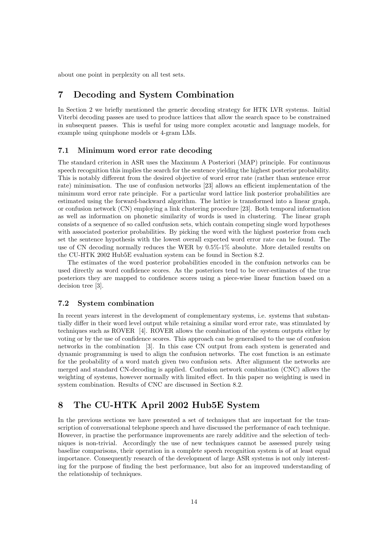about one point in perplexity on all test sets.

# 7 Decoding and System Combination

In Section 2 we briefly mentioned the generic decoding strategy for HTK LVR systems. Initial Viterbi decoding passes are used to produce lattices that allow the search space to be constrained in subsequent passes. This is useful for using more complex acoustic and language models, for example using quinphone models or 4-gram LMs.

### 7.1 Minimum word error rate decoding

The standard criterion in ASR uses the Maximum A Posteriori (MAP) principle. For continuous speech recognition this implies the search for the sentence yielding the highest posterior probability. This is notably different from the desired objective of word error rate (rather than sentence error rate) minimisation. The use of confusion networks [23] allows an efficient implementation of the minimum word error rate principle. For a particular word lattice link posterior probabilities are estimated using the forward-backward algorithm. The lattice is transformed into a linear graph, or confusion network (CN) employing a link clustering procedure [23]. Both temporal information as well as information on phonetic similarity of words is used in clustering. The linear graph consists of a sequence of so called confusion sets, which contain competing single word hypotheses with associated posterior probabilities. By picking the word with the highest posterior from each set the sentence hypothesis with the lowest overall expected word error rate can be found. The use of CN decoding normally reduces the WER by 0.5%-1% absolute. More detailed results on the CU-HTK 2002 Hub5E evaluation system can be found in Section 8.2.

The estimates of the word posterior probabilities encoded in the confusion networks can be used directly as word confidence scores. As the posteriors tend to be over-estimates of the true posteriors they are mapped to confidence scores using a piece-wise linear function based on a decision tree [3].

### 7.2 System combination

In recent years interest in the development of complementary systems, i.e. systems that substantially differ in their word level output while retaining a similar word error rate, was stimulated by techniques such as ROVER [4]. ROVER allows the combination of the system outputs either by voting or by the use of confidence scores. This approach can be generalised to the use of confusion networks in the combination [3]. In this case CN output from each system is generated and dynamic programming is used to align the confusion networks. The cost function is an estimate for the probability of a word match given two confusion sets. After alignment the networks are merged and standard CN-decoding is applied. Confusion network combination (CNC) allows the weighting of systems, however normally with limited effect. In this paper no weighting is used in system combination. Results of CNC are discussed in Section 8.2.

# 8 The CU-HTK April 2002 Hub5E System

In the previous sections we have presented a set of techniques that are important for the transcription of conversational telephone speech and have discussed the performance of each technique. However, in practise the performance improvements are rarely additive and the selection of techniques is non-trivial. Accordingly the use of new techniques cannot be assessed purely using baseline comparisons, their operation in a complete speech recognition system is of at least equal importance. Consequently research of the development of large ASR systems is not only interesting for the purpose of finding the best performance, but also for an improved understanding of the relationship of techniques.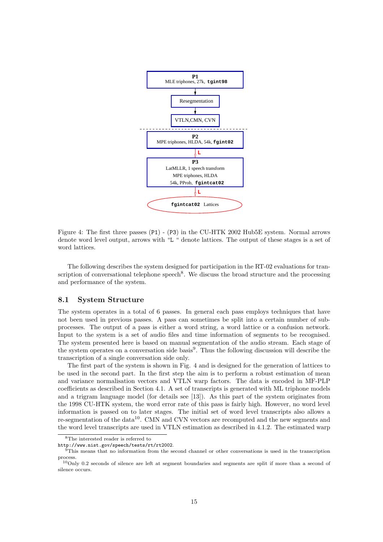

Figure 4: The first three passes (P1) - (P3) in the CU-HTK 2002 Hub5E system. Normal arrows denote word level output, arrows with "L " denote lattices. The output of these stages is a set of word lattices.

The following describes the system designed for participation in the RT-02 evaluations for transcription of conversational telephone speech<sup>8</sup>. We discuss the broad structure and the processing and performance of the system.

#### 8.1 System Structure

The system operates in a total of 6 passes. In general each pass employs techniques that have not been used in previous passes. A pass can sometimes be split into a certain number of subprocesses. The output of a pass is either a word string, a word lattice or a confusion network. Input to the system is a set of audio files and time information of segments to be recognised. The system presented here is based on manual segmentation of the audio stream. Each stage of the system operates on a conversation side basis<sup>9</sup>. Thus the following discussion will describe the transcription of a single conversation side only.

The first part of the system is shown in Fig. 4 and is designed for the generation of lattices to be used in the second part. In the first step the aim is to perform a robust estimation of mean and variance normalisation vectors and VTLN warp factors. The data is encoded in MF-PLP coefficients as described in Section 4.1. A set of transcripts is generated with ML triphone models and a trigram language model (for details see [13]). As this part of the system originates from the 1998 CU-HTK system, the word error rate of this pass is fairly high. However, no word level information is passed on to later stages. The initial set of word level transcripts also allows a re-segmentation of the data<sup>10</sup>. CMN and CVN vectors are recomputed and the new segments and the word level transcripts are used in VTLN estimation as described in 4.1.2. The estimated warp

<sup>8</sup>The interested reader is referred to

http://www.nist.gov/speech/tests/rt/rt2002.

 $9$ This means that no information from the second channel or other conversations is used in the transcription process.

<sup>10</sup>Only 0.2 seconds of silence are left at segment boundaries and segments are split if more than a second of silence occurs.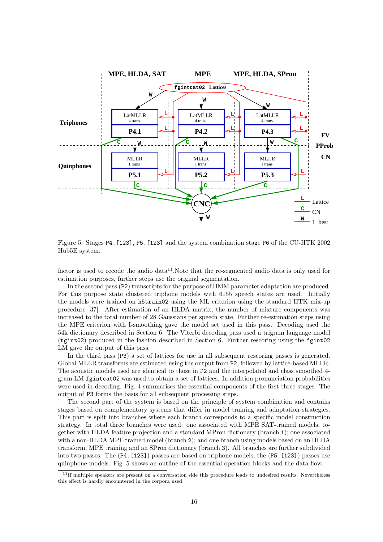

Figure 5: Stages P4.[123], P5.[123] and the system combination stage P6 of the CU-HTK 2002 Hub5E system.

factor is used to recode the audio data $11$ . Note that the re-segmented audio data is only used for estimation purposes, further steps use the original segmentation.

In the second pass (P2) transcripts for the purpose of HMM parameter adaptation are produced. For this purpose state clustered triphone models with 6155 speech states are used. Initially the models were trained on h5train02 using the ML criterion using the standard HTK mix-up procedure [37]. After estimation of an HLDA matrix, the number of mixture components was increased to the total number of 28 Gaussians per speech state. Further re-estimation steps using the MPE criterion with I-smoothing gave the model set used in this pass. Decoding used the 54k dictionary described in Section 6. The Viterbi decoding pass used a trigram language model (tgint02) produced in the fashion described in Section 6. Further rescoring using the fgint02 LM gave the output of this pass.

In the third pass (P3) a set of lattices for use in all subsequent rescoring passes is generated. Global MLLR transforms are estimated using the output from P2, followed by lattice-based MLLR. The acoustic models used are identical to those in P2 and the interpolated and class smoothed 4 gram LM fgintcat02 was used to obtain a set of lattices. In addition pronunciation probabilities were used in decoding. Fig. 4 summarises the essential components of the first three stages. The output of P3 forms the basis for all subsequent processing steps.

The second part of the system is based on the principle of system combination and contains stages based on complementary systems that differ in model training and adaptation strategies. This part is split into branches where each branch corresponds to a specific model construction strategy. In total three branches were used: one associated with MPE SAT-trained models, together with HLDA feature projection and a standard MPron dictionary (branch 1); one associated with a non-HLDA MPE trained model (branch 2); and one branch using models based on an HLDA transform, MPE training and an SPron dictionary (branch 3). All branches are further subdivided into two passes: The (P4.[123]) passes are based on triphone models, the (P5.[123]) passes use quinphone models. Fig. 5 shows an outline of the essential operation blocks and the data flow.

 $11$ If multiple speakers are present on a conversation side this procedure leads to undesired results. Nevertheless this effect is hardly encountered in the corpora used.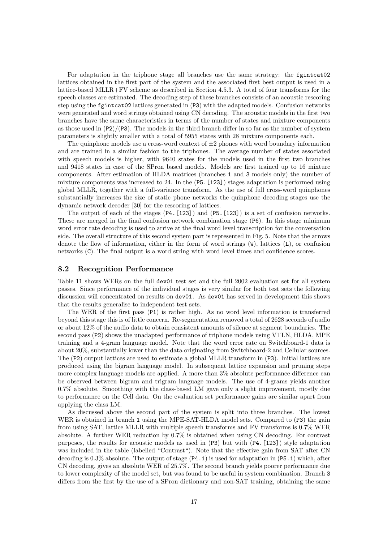For adaptation in the triphone stage all branches use the same strategy: the fgintcat02 lattices obtained in the first part of the system and the associated first best output is used in a lattice-based MLLR+FV scheme as described in Section 4.5.3. A total of four transforms for the speech classes are estimated. The decoding step of these branches consists of an acoustic rescoring step using the fgintcat02 lattices generated in (P3) with the adapted models. Confusion networks were generated and word strings obtained using CN decoding. The acoustic models in the first two branches have the same characteristics in terms of the number of states and mixture components as those used in  $(P2)/(P3)$ . The models in the third branch differ in so far as the number of system parameters is slightly smaller with a total of 5955 states with 28 mixture components each.

The quinphone models use a cross-word context of  $\pm 2$  phones with word boundary information and are trained in a similar fashion to the triphones. The average number of states associated with speech models is higher, with 9640 states for the models used in the first two branches and 9418 states in case of the SPron based models. Models are first trained up to 16 mixture components. After estimation of HLDA matrices (branches 1 and 3 models only) the number of mixture components was increased to 24. In the  $(P5. [123])$  stages adaptation is performed using global MLLR, together with a full-variance transform. As the use of full cross-word quinphones substantially increases the size of static phone networks the quinphone decoding stages use the dynamic network decoder [30] for the rescoring of lattices.

The output of each of the stages  $(P4. [123])$  and  $(P5. [123])$  is a set of confusion networks. These are merged in the final confusion network combination stage (P6). In this stage minimum word error rate decoding is used to arrive at the final word level transcription for the conversation side. The overall structure of this second system part is represented in Fig. 5. Note that the arrows denote the flow of information, either in the form of word strings (W), lattices (L), or confusion networks (C). The final output is a word string with word level times and confidence scores.

#### 8.2 Recognition Performance

Table 11 shows WERs on the full dev01 test set and the full 2002 evaluation set for all system passes. Since performance of the individual stages is very similar for both test sets the following discussion will concentrated on results on dev01. As dev01 has served in development this shows that the results generalise to independent test sets.

The WER of the first pass (P1) is rather high. As no word level information is transferred beyond this stage this is of little concern. Re-segmentation removed a total of 2628 seconds of audio or about 12% of the audio data to obtain consistent amounts of silence at segment boundaries. The second pass (P2) shows the unadapted performance of triphone models using VTLN, HLDA, MPE training and a 4-gram language model. Note that the word error rate on Switchboard-1 data is about 20%, substantially lower than the data originating from Switchboard-2 and Cellular sources. The (P2) output lattices are used to estimate a global MLLR transform in (P3). Initial lattices are produced using the bigram language model. In subsequent lattice expansion and pruning steps more complex language models are applied. A more than 3% absolute performance difference can be observed between bigram and trigram language models. The use of 4-grams yields another 0.7% absolute. Smoothing with the class-based LM gave only a slight improvement, mostly due to performance on the Cell data. On the evaluation set performance gains are similar apart from applying the class LM.

As discussed above the second part of the system is split into three branches. The lowest WER is obtained in branch 1 using the MPE-SAT-HLDA model sets. Compared to  $(P3)$  the gain from using SAT, lattice MLLR with multiple speech transforms and FV transforms is 0.7% WER absolute. A further WER reduction by 0.7% is obtained when using CN decoding. For contrast purposes, the results for acoustic models as used in (P3) but with (P4.[123]) style adaptation was included in the table (labelled "Contrast"). Note that the effective gain from SAT after CN decoding is 0.3% absolute. The output of stage (P4.1) is used for adaptation in (P5.1) which, after CN decoding, gives an absolute WER of 25.7%. The second branch yields poorer performance due to lower complexity of the model set, but was found to be useful in system combination. Branch 3 differs from the first by the use of a SPron dictionary and non-SAT training, obtaining the same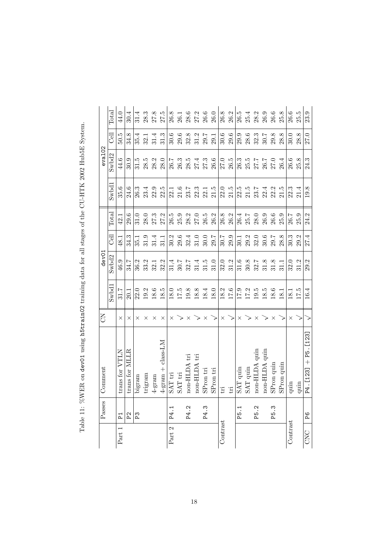| Part 1   | $\overline{P}$                | Comment                         | FO       |          | dev01    |                  |          |       | eva102   |             |          |
|----------|-------------------------------|---------------------------------|----------|----------|----------|------------------|----------|-------|----------|-------------|----------|
|          |                               |                                 |          | Swbdl    | Swbd2    | Cel              | Total    | Swbd1 | Swbd2    | <b>Cell</b> | Total    |
|          |                               | trans for VTLN                  | $\times$ | 31.7     | 46.9     | 48.1             | 42.1     | 35.6  | 44.6     | 50.5        | 44.0     |
|          | P <sup>2</sup>                | trans for MLLR                  | ×        | 20.1     | 34.7     | 34.3             | 29.6     | 24.6  | 30.9     | 34.8        | 30.4     |
|          | P3                            | bigram                          | ×        | 22.0     | 36.2     | 35.1             | 31.0     | 26.3  | 31.5     | 35.4        | 31.4     |
|          |                               | trigram                         | ×        | 19.2     | 33.2     | 31.9             | 28.0     | 23.4  | 28.5     | 32.1        | 28.3     |
|          |                               | $4\mbox{-}\mathrm{gram}$        | ×        | 18.6     | 32.1     | 31.4             | 27.3     | 22.9  | 28.2     | 31.4        | 27.8     |
|          |                               | $4$ -gram + class-LM            | $\times$ | $18.5\,$ | 32.2     | 31.1             | 27.2     | 22.5  | 28.0     | 31.3        | 27.5     |
| Part 2   | $\mathbf{\overline{u}}$<br>Ъ4 | SAT tri                         | $\times$ | 18.0     | 31,4     | 30.2             | 26.5     | 22.1  | 26.7     | 30.6        | 26.8     |
|          |                               | $\ensuremath{\mathrm{SAT}}$ tri |          | 17.5     | 30.7     |                  | 25.9     | 21.6  | 26.3     | 29.6        | 26.1     |
|          | $\ddot{\Omega}$<br>P4.        | ij<br>10n-HLDA                  | $\times$ | 19.8     | 32.7     | $29.6$<br>$32.4$ | 28.2     | 23.7  | 28.5     | 32.8        | $28.6$   |
|          |                               | ti<br>$\text{non-HLDA}$         |          | 18.8     | 31.4     | 31.0             | 27.0     | 22.3  | 27.4     | 31.2        | 27.2     |
|          | P4.3                          | SPron tri                       | X        | 18.4     | 31.5     | $30.0\,$         | $26.5\,$ | 22.1  | $27.3\,$ | 29.7        | $26.6\,$ |
|          |                               | SPron tri                       |          | 18.0     | 31.0     | 29.7             | 26.2     | 21.5  | 26.6     | 29.1        | 26.0     |
| Contrast |                               | $\mathop{\mathrm{tri}}$         | $\times$ | 18.2     | 32.0     | $30.7\,$         | 26.8     | 22.0  | 27.0     | 30.6        | 26.8     |
|          |                               | $\mathop{\mathrm{tri}}$         |          | 17.6     | 31.2     | 29.9             | 26.2     | 21.5  | 26.5     | 29.6        | 26.2     |
|          | P5.1                          | SAT quin                        | ×        | 17.9     | 31.6     | 30.1             | 26.4     | 22.5  | 26.3     | 29.9        | 26.5     |
|          |                               | $SAT$ quin                      |          | 17.2     | 30.8     | 29.2             | $25.7\,$ | 21.5  | 25.5     | 28.6        | 25.4     |
|          | P5.2                          | aon-HLDA quin                   |          | 19.5     | 32.7     | 32.0             | 28.0     | 23.7  | 27.7     | 32.3        | 28.2     |
|          |                               | non-HLDA quin                   |          | $18.5\,$ | $31.8\,$ | $30.6\,$         | 26.9     | 22.4  | $26.7\,$ | 30.7        | $26.9\,$ |
|          | P5.3                          | SPron quin                      |          | $18.6\,$ | 31.8     | $29.7\,$         | 26.6     | 22.2  | 27.0     | 29.8        | 26.6     |
|          |                               | SPron quin                      |          | 18.1     | 31.1     | 28.8             | 25.9     | 21.5  | 26.4     | 28.8        | 25.8     |
| Contrast |                               | quin                            | $\times$ | 18.1     | 32.0     | 30.3             | 26.7     | 22.3  | 26.6     | 30.0        | 26.6     |
|          |                               | quin                            |          | 17.5     | 31.2     | 29.2             | 25.9     | 21.4  | 25.8     | œ<br>28.    | 25.5     |
| CNC      | P6                            | $+$ P5. [123]<br>P4. [123]      |          | 16.4     | 29.2     | 27.4             | 24.2     | 19.8  | 24.3     | 27.0        | 23.9     |

Table 11: %WER on dev01 using h5train02 training data for all stages of the CU-HTK 2002 Hub5E System. Table 11: %WER on dev01 using h5train02 training data for all stages of the CU-HTK 2002 Hub5E System.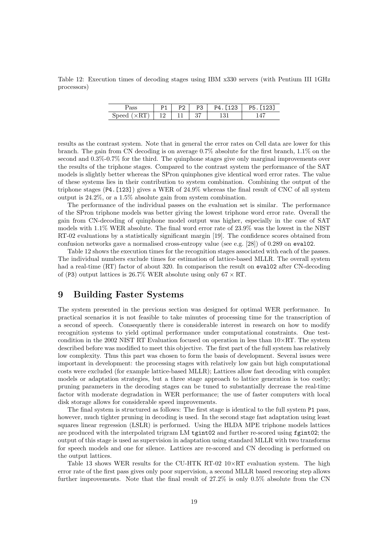Table 12: Execution times of decoding stages using IBM x330 servers (with Pentium III 1GHz processors)

|                     | D <sub>1</sub><br>. . | P <sub>2</sub> | P3 | P4. [123] | P5. [123] |
|---------------------|-----------------------|----------------|----|-----------|-----------|
| Speed $(\times RT)$ | 12                    |                | 37 |           |           |

results as the contrast system. Note that in general the error rates on Cell data are lower for this branch. The gain from CN decoding is on average 0.7% absolute for the first branch, 1.1% on the second and 0.3%-0.7% for the third. The quinphone stages give only marginal improvements over the results of the triphone stages. Compared to the contrast system the performance of the SAT models is slightly better whereas the SPron quinphones give identical word error rates. The value of these systems lies in their contribution to system combination. Combining the output of the triphone stages  $(P4. [123])$  gives a WER of  $24.9\%$  whereas the final result of CNC of all system output is 24.2%, or a 1.5% absolute gain from system combination.

The performance of the individual passes on the evaluation set is similar. The performance of the SPron triphone models was better giving the lowest triphone word error rate. Overall the gain from CN-decoding of quinphone model output was higher, especially in the case of SAT models with 1.1% WER absolute. The final word error rate of 23.9% was the lowest in the NIST RT-02 evaluations by a statistically significant margin [19]. The confidence scores obtained from confusion networks gave a normalised cross-entropy value (see e.g. [28]) of 0.289 on eval02.

Table 12 shows the execution times for the recognition stages associated with each of the passes. The individual numbers exclude times for estimation of lattice-based MLLR. The overall system had a real-time (RT) factor of about 320. In comparison the result on eval02 after CN-decoding of (P3) output lattices is 26.7% WER absolute using only  $67 \times RT$ .

# 9 Building Faster Systems

The system presented in the previous section was designed for optimal WER performance. In practical scenarios it is not feasible to take minutes of processing time for the transcription of a second of speech. Consequently there is considerable interest in research on how to modify recognition systems to yield optimal performance under computational constraints. One testcondition in the 2002 NIST RT Evaluation focused on operation in less than  $10\times RT$ . The system described before was modified to meet this objective. The first part of the full system has relatively low complexity. Thus this part was chosen to form the basis of development. Several issues were important in development: the processing stages with relatively low gain but high computational costs were excluded (for example lattice-based MLLR); Lattices allow fast decoding with complex models or adaptation strategies, but a three stage approach to lattice generation is too costly; pruning parameters in the decoding stages can be tuned to substantially decrease the real-time factor with moderate degradation in WER performance; the use of faster computers with local disk storage allows for considerable speed improvements.

The final system is structured as follows: The first stage is identical to the full system P1 pass, however, much tighter pruning in decoding is used. In the second stage fast adaptation using least squares linear regression (LSLR) is performed. Using the HLDA MPE triphone models lattices are produced with the interpolated trigram LM tgint02 and further re-scored using fgint02; the output of this stage is used as supervision in adaptation using standard MLLR with two transforms for speech models and one for silence. Lattices are re-scored and CN decoding is performed on the output lattices.

Table 13 shows WER results for the CU-HTK RT-02 10×RT evaluation system. The high error rate of the first pass gives only poor supervision, a second MLLR based rescoring step allows further improvements. Note that the final result of 27.2% is only 0.5% absolute from the CN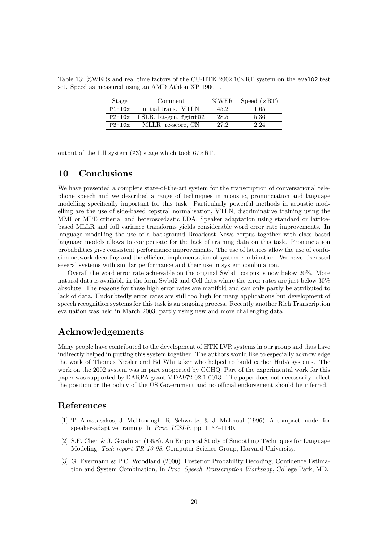Table 13: %WERs and real time factors of the CU-HTK 2002  $10\times RT$  system on the eval02 test set. Speed as measured using an AMD Athlon XP 1900+.

| Stage    | Comment                   | %WER | Speed $(\times RT)$ |
|----------|---------------------------|------|---------------------|
| $P1-10x$ | initial trans., VTLN      | 45.2 | 1.65                |
| $P2-10x$ | $LSLR$ , lat-gen, fgint02 | 28.5 | 5.36                |
| $P3-10x$ | MLLR, re-score, CN        | 27.2 | 2.24                |

output of the full system (P3) stage which took  $67\times RT$ .

# 10 Conclusions

We have presented a complete state-of-the-art system for the transcription of conversational telephone speech and we described a range of techniques in acoustic, pronunciation and language modelling specifically important for this task. Particularly powerful methods in acoustic modelling are the use of side-based cepstral normalisation, VTLN, discriminative training using the MMI or MPE criteria, and heteroscedastic LDA. Speaker adaptation using standard or latticebased MLLR and full variance transforms yields considerable word error rate improvements. In language modelling the use of a background Broadcast News corpus together with class based language models allows to compensate for the lack of training data on this task. Pronunciation probabilities give consistent performance improvements. The use of lattices allow the use of confusion network decoding and the efficient implementation of system combination. We have discussed several systems with similar performance and their use in system combination.

Overall the word error rate achievable on the original Swbd1 corpus is now below 20%. More natural data is available in the form Swbd2 and Cell data where the error rates are just below 30% absolute. The reasons for these high error rates are manifold and can only partly be attributed to lack of data. Undoubtedly error rates are still too high for many applications but development of speech recognition systems for this task is an ongoing process. Recently another Rich Transcription evaluation was held in March 2003, partly using new and more challenging data.

# Acknowledgements

Many people have contributed to the development of HTK LVR systems in our group and thus have indirectly helped in putting this system together. The authors would like to especially acknowledge the work of Thomas Niesler and Ed Whittaker who helped to build earlier Hub5 systems. The work on the 2002 system was in part supported by GCHQ. Part of the experimental work for this paper was supported by DARPA grant MDA972-02-1-0013. The paper does not necessarily reflect the position or the policy of the US Government and no official endorsement should be inferred.

# References

- [1] T. Anastasakos, J. McDonough, R. Schwartz, & J. Makhoul (1996). A compact model for speaker-adaptive training. In Proc. ICSLP, pp. 1137–1140.
- [2] S.F. Chen & J. Goodman (1998). An Empirical Study of Smoothing Techniques for Language Modeling. Tech-report TR-10-98, Computer Science Group, Harvard University.
- [3] G. Evermann & P.C. Woodland (2000). Posterior Probability Decoding, Confidence Estimation and System Combination, In Proc. Speech Transcription Workshop, College Park, MD.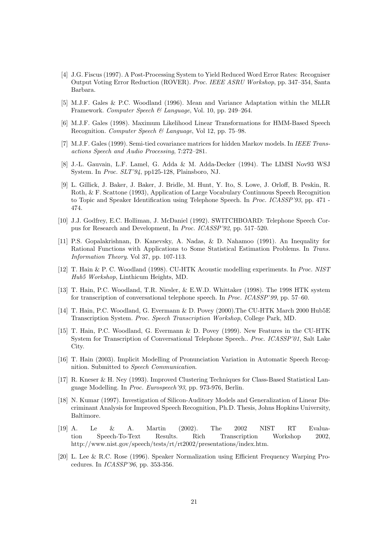- [4] J.G. Fiscus (1997). A Post-Processing System to Yield Reduced Word Error Rates: Recogniser Output Voting Error Reduction (ROVER). Proc. IEEE ASRU Workshop, pp. 347–354, Santa Barbara.
- [5] M.J.F. Gales & P.C. Woodland (1996). Mean and Variance Adaptation within the MLLR Framework. Computer Speech & Language, Vol. 10, pp. 249–264.
- [6] M.J.F. Gales (1998). Maximum Likelihood Linear Transformations for HMM-Based Speech Recognition. Computer Speech & Language, Vol 12, pp. 75–98.
- [7] M.J.F. Gales (1999). Semi-tied covariance matrices for hidden Markov models. In IEEE Transactions Speech and Audio Processing, 7:272–281.
- [8] J.-L. Gauvain, L.F. Lamel, G. Adda & M. Adda-Decker (1994). The LIMSI Nov93 WSJ System. In Proc. SLT'94, pp125-128, Plainsboro, NJ.
- [9] L. Gillick, J. Baker, J. Baker, J. Bridle, M. Hunt, Y. Ito, S. Lowe, J. Orloff, B. Peskin, R. Roth, & F. Scattone (1993), Application of Large Vocabulary Continuous Speech Recognition to Topic and Speaker Identification using Telephone Speech. In *Proc. ICASSP'93*, pp. 471 -474.
- [10] J.J. Godfrey, E.C. Holliman, J. McDaniel (1992). SWITCHBOARD: Telephone Speech Corpus for Research and Development, In Proc. ICASSP'92, pp. 517–520.
- [11] P.S. Gopalakrishnan, D. Kanevsky, A. Nadas, & D. Nahamoo (1991). An Inequality for Rational Functions with Applications to Some Statistical Estimation Problems. In Trans. Information Theory. Vol 37, pp. 107-113.
- [12] T. Hain & P. C. Woodland (1998). CU-HTK Acoustic modelling experiments. In Proc. NIST Hub5 Workshop, Linthicum Heights, MD.
- [13] T. Hain, P.C. Woodland, T.R. Niesler, & E.W.D. Whittaker (1998). The 1998 HTK system for transcription of conversational telephone speech. In Proc. ICASSP'99, pp. 57–60.
- [14] T. Hain, P.C. Woodland, G. Evermann & D. Povey (2000).The CU-HTK March 2000 Hub5E Transcription System. Proc. Speech Transcription Workshop, College Park, MD.
- [15] T. Hain, P.C. Woodland, G. Evermann & D. Povey (1999). New Features in the CU-HTK System for Transcription of Conversational Telephone Speech.. Proc. ICASSP'01, Salt Lake City.
- [16] T. Hain (2003). Implicit Modelling of Pronunciation Variation in Automatic Speech Recognition. Submitted to Speech Communication.
- [17] R. Kneser & H. Ney (1993). Improved Clustering Techniques for Class-Based Statistical Language Modelling. In Proc. Eurospeech'93, pp. 973-976, Berlin.
- [18] N. Kumar (1997). Investigation of Silicon-Auditory Models and Generalization of Linear Discriminant Analysis for Improved Speech Recognition, Ph.D. Thesis, Johns Hopkins University, Baltimore.
- [19] A. Le & A. Martin (2002). The 2002 NIST RT Evaluation Speech-To-Text Results. Rich Transcription Workshop 2002, http://www.nist.gov/speech/tests/rt/rt2002/presentations/index.htm.
- [20] L. Lee & R.C. Rose (1996). Speaker Normalization using Efficient Frequency Warping Procedures. In ICASSP'96, pp. 353-356.